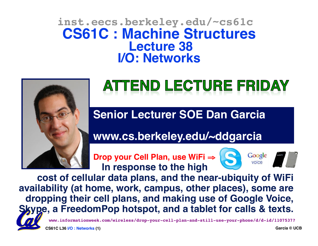#### **inst.eecs.berkeley.edu/~cs61c CS61C : Machine Structures Lecture 38 I/O: Networks**



# ATTEND LECTURE FRIDAY

**Senior Lecturer SOE Dan Garcia**

**www.cs.berkeley.edu/~ddgarcia**

**Drop your Cell Plan, use WiFi ⇒ Secogle** In response to the high



**cost of cellular data plans, and the near-ubiquity of WiFi availability (at home, work, campus, other places), some are dropping their cell plans, and making use of Google Voice, Skype, a FreedomPop hotspot, and a tablet for calls & texts.** 



**CS61C L36 I/O : Networks (1) Garcia © UCB**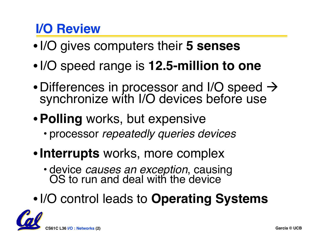#### **I/O Review**

- •I/O gives computers their **5 senses**
- •I/O speed range is **12.5-million to one**
- Differences in processor and I/O speed  $\rightarrow$ synchronize with I/O devices before use
- •**Polling** works, but expensive
	- processor *repeatedly queries devices*
- •**Interrupts** works, more complex
	- device *causes an exception*, causing OS to run and deal with the device
- •I/O control leads to **Operating Systems**

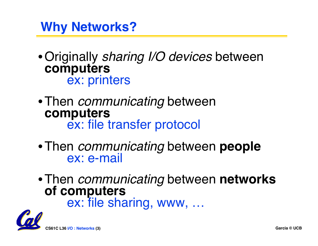**Why Networks?**

•Originally *sharing I/O devices* between **computers** ex: printers

- •Then *communicating* between **ex: file transfer protocol**
- Then *communicating* between **people**<br>ex: e-mail
- •Then *communicating* between **networks**

**ex: file sharing, www, …** 

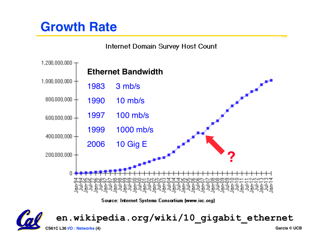#### **Growth Rate**

Internet Domain Survey Host Count



Source: Internet Systems Consortium (www.isc.org)

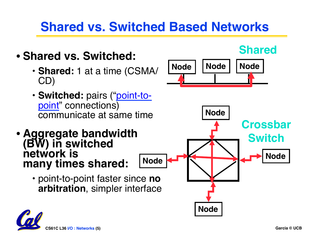#### **Shared vs. Switched Based Networks**

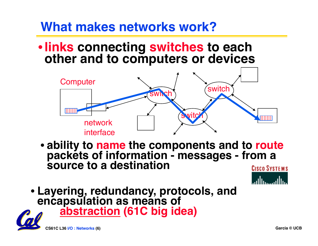#### **What makes networks work?**

#### •**links connecting switches to each other and to computers or devices**



• **ability to name the components and to route packets of information - messages - from a source to a destination**



• **Layering, redundancy, protocols, and encapsulation as means of abstraction (61C big idea)**

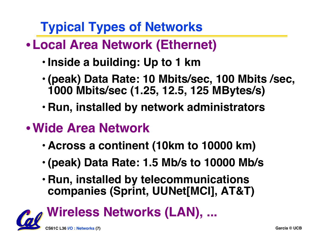**Typical Types of Networks**

- •**Local Area Network (Ethernet)**
	- **Inside a building: Up to 1 km**
	- **(peak) Data Rate: 10 Mbits/sec, 100 Mbits /sec, 1000 Mbits/sec (1.25, 12.5, 125 MBytes/s)**
	- **Run, installed by network administrators**
- •**Wide Area Network**
	- **Across a continent (10km to 10000 km)**
	- **(peak) Data Rate: 1.5 Mb/s to 10000 Mb/s**
	- **Run, installed by telecommunications companies (Sprint, UUNet[MCI], AT&T)**

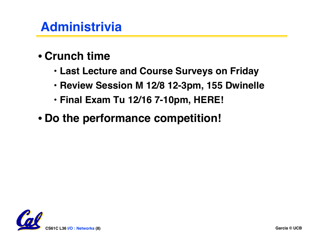#### **Administrivia**

- **Crunch time**
	- **Last Lecture and Course Surveys on Friday**
	- **Review Session M 12/8 12-3pm, 155 Dwinelle**
	- **Final Exam Tu 12/16 7-10pm, HERE!**
- **Do the performance competition!**

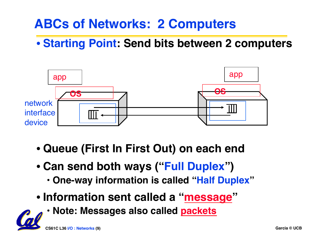#### **ABCs of Networks: 2 Computers**

#### • **Starting Point: Send bits between 2 computers**



- **Queue (First In First Out) on each end**
- **Can send both ways ("Full Duplex")**
	- **One-way information is called "Half Duplex"**
- **Information sent called a "message"**
	- **Note: Messages also called packets**

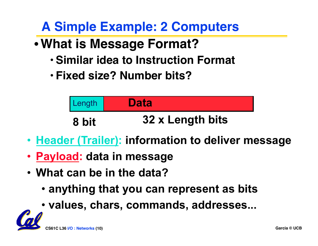**A Simple Example: 2 Computers**

- •**What is Message Format?**
	- **Similar idea to Instruction Format**
	- **Fixed size? Number bits?**



- **Header (Trailer): information to deliver message**
- **Payload: data in message**
- **What can be in the data?** 
	- **anything that you can represent as bits**
	- **values, chars, commands, addresses...**

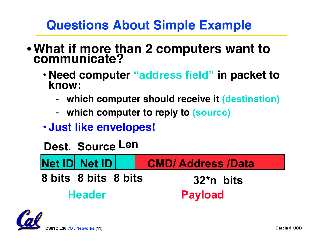#### **Questions About Simple Example**

- •**What if more than 2 computers want to communicate?**
	- **Need computer "address field" in packet to know:**
		- **which computer should receive it (destination)**
		- **which computer to reply to (source)**
	- **Just like envelopes!**



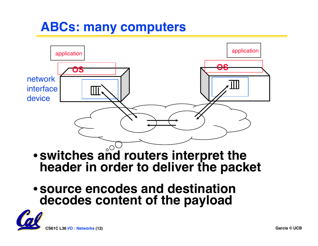#### **ABCs: many computers**



- **switches and routers interpret the header in order to deliver the packet**
- **source encodes and destination decodes content of the payload**

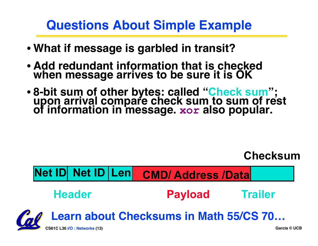#### **Questions About Simple Example**

- **What if message is garbled in transit?**
- **Add redundant information that is checked when message arrives to be sure it is OK**
- **8-bit sum of other bytes: called "Check sum"; upon arrival compare check sum to sum of rest of information in message. xor also popular.**

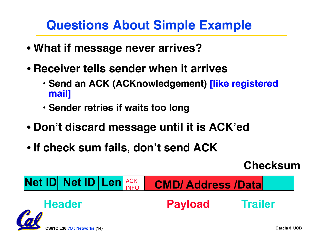#### **Questions About Simple Example**

- **What if message never arrives?**
- **Receiver tells sender when it arrives** 
	- **Send an ACK (ACKnowledgement) [like registered mail]**
	- **Sender retries if waits too long**
- **Don't discard message until it is ACK'ed**
- **If check sum fails, don't send ACK**

**Checksum** 

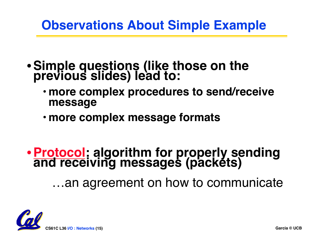#### **Observations About Simple Example**

- •**Simple questions (like those on the previous slides) lead to:**
	- **more complex procedures to send/receive message**
	- **more complex message formats**

# •**Protocol: algorithm for properly sending and receiving messages (packets)**

…an agreement on how to communicate

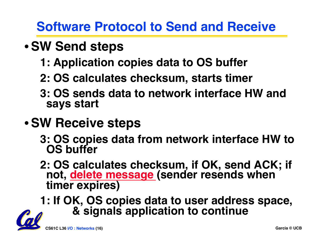#### **Software Protocol to Send and Receive**

# •**SW Send steps**

- **1: Application copies data to OS buffer**
- **2: OS calculates checksum, starts timer**
- **3: OS sends data to network interface HW and says start**
- •**SW Receive steps**
	- **3: OS copies data from network interface HW to OS buffer**
	- **2: OS calculates checksum, if OK, send ACK; if not, delete message (sender resends when timer expires)**
	- **1: If OK, OS copies data to user address space, & signals application to continue**

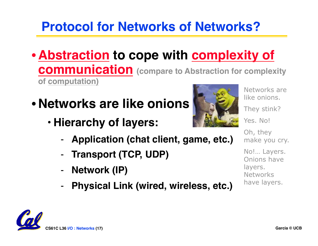# **Protocol for Networks of Networks?**

- **Abstraction to cope with complexity of communication (compare to Abstraction for complexity of computation)**
- **Networks are like onions**
	- **Hierarchy of layers:**
		- **Application (chat client, game, etc.)**
		- **Transport (TCP, UDP)**
		- **Network (IP)**
		- **Physical Link (wired, wireless, etc.)**



Networks are like onions. They stink? Yes. No!

Oh, they make you cry.

No!… Layers. Onions have layers. Networks have layers.

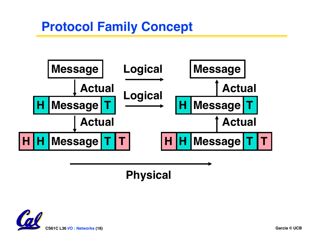#### **Protocol Family Concept**



**Physical**

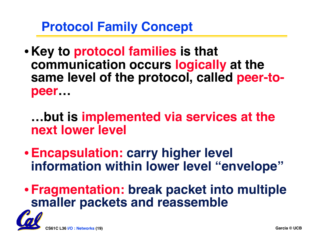**Protocol Family Concept**

• **Key to protocol families is that communication occurs logically at the same level of the protocol, called peer-topeer…**

**…but is implemented via services at the next lower level**

•**Encapsulation: carry higher level information within lower level "envelope"**

•**Fragmentation: break packet into multiple smaller packets and reassemble**

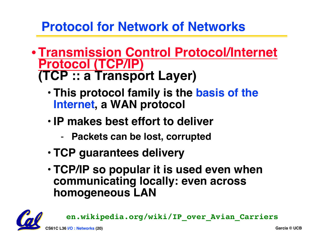#### **Protocol for Network of Networks**

- •**Transmission Control Protocol/Internet (TCP :: a Transport Layer)** 
	- **This protocol family is the basis of the Internet, a WAN protocol**
	- **IP makes best effort to deliver** 
		- **Packets can be lost, corrupted**
	- **TCP guarantees delivery**
	- **TCP/IP so popular it is used even when communicating locally: even across homogeneous LAN**



**en.wikipedia.org/wiki/IP\_over\_Avian\_Carriers**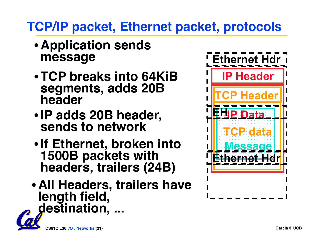# **TCP/IP packet, Ethernet packet, protocols**

- **Application sends message**
- •**TCP breaks into 64KiB segments, adds 20B header**
- •**IP adds 20B header, sends to network**
- •**If Ethernet, broken into 1500B packets with headers, trailers (24B)**
- **All Headers, trailers have length field, destination, ...**



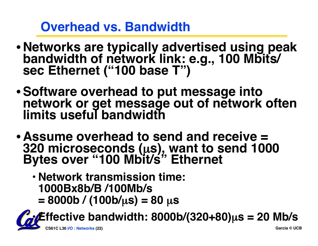#### **Overhead vs. Bandwidth**

- **Networks are typically advertised using peak bandwidth of network link: e.g., 100 Mbits/ sec Ethernet ("100 base T")**
- •**Software overhead to put message into network or get message out of network often limits useful bandwidth**
- **Assume overhead to send and receive = 320 microseconds (**µ**s), want to send 1000 Bytes over "100 Mbit/s" Ethernet**
	- **Network transmission time: 1000Bx8b/B /100Mb/s**
		- **= 8000b / (100b/**µ**s) = 80** µ**s**

**CS61C L36 I/O : Networks (22) Garcia © UCB** • **Effective bandwidth: 8000b/(320+80)**µ**s = 20 Mb/s**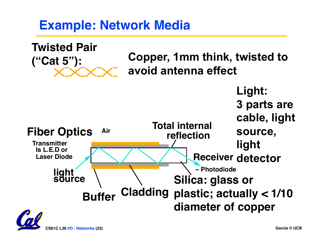#### **Example: Network Media**

**Copper, 1mm think, twisted to avoid antenna effect Twisted Pair ("Cat 5"): Light: 3 parts are cable, light source, light**  Laser Diode **Receiver** detector **Fiber Optics Transmitter Is L.E.D or – Photodiode light source Silica: glass or plastic; actually < 1/10 Cladding Bufferdiameter of copper Total internal** Air **reflection**